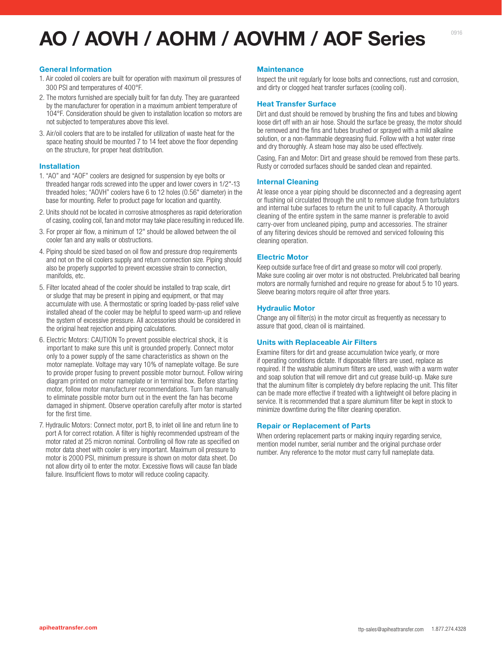# **AO / AOVH / AOHM / AOVHM / AOF Series**

#### **General Information**

- 1. Air cooled oil coolers are built for operation with maximum oil pressures of 300 PSI and temperatures of 400°F.
- 2. The motors furnished are specially built for fan duty. They are guaranteed by the manufacturer for operation in a maximum ambient temperature of 104°F. Consideration should be given to installation location so motors are not subjected to temperatures above this level.
- 3. Air/oil coolers that are to be installed for utilization of waste heat for the space heating should be mounted 7 to 14 feet above the floor depending on the structure, for proper heat distribution.

#### **Installation**

- 1. "AO" and "AOF" coolers are designed for suspension by eye bolts or threaded hangar rods screwed into the upper and lower covers in 1/2"-13 threaded holes; "AOVH" coolers have 6 to 12 holes (0.56" diameter) in the base for mounting. Refer to product page for location and quantity.
- 2. Units should not be located in corrosive atmospheres as rapid deterioration of casing, cooling coil, fan and motor may take place resulting in reduced life.
- 3. For proper air flow, a minimum of 12" should be allowed between the oil cooler fan and any walls or obstructions.
- 4. Piping should be sized based on oil flow and pressure drop requirements and not on the oil coolers supply and return connection size. Piping should also be properly supported to prevent excessive strain to connection, manifolds, etc.
- 5. Filter located ahead of the cooler should be installed to trap scale, dirt or sludge that may be present in piping and equipment, or that may accumulate with use. A thermostatic or spring loaded by-pass relief valve installed ahead of the cooler may be helpful to speed warm-up and relieve the system of excessive pressure. All accessories should be considered in the original heat rejection and piping calculations.
- 6. Electric Motors: CAUTION To prevent possible electrical shock, it is important to make sure this unit is grounded properly. Connect motor only to a power supply of the same characteristics as shown on the motor nameplate. Voltage may vary 10% of nameplate voltage. Be sure to provide proper fusing to prevent possible motor burnout. Follow wiring diagram printed on motor nameplate or in terminal box. Before starting motor, follow motor manufacturer recommendations. Turn fan manually to eliminate possible motor burn out in the event the fan has become damaged in shipment. Observe operation carefully after motor is started for the first time.
- 7. Hydraulic Motors: Connect motor, port B, to inlet oil line and return line to port A for correct rotation. A filter is highly recommended upstream of the motor rated at 25 micron nominal. Controlling oil flow rate as specified on motor data sheet with cooler is very important. Maximum oil pressure to motor is 2000 PSI, minimum pressure is shown on motor data sheet. Do not allow dirty oil to enter the motor. Excessive flows will cause fan blade failure. Insufficient flows to motor will reduce cooling capacity.

#### **Maintenance**

Inspect the unit regularly for loose bolts and connections, rust and corrosion, and dirty or clogged heat transfer surfaces (cooling coil).

#### **Heat Transfer Surface**

Dirt and dust should be removed by brushing the fins and tubes and blowing loose dirt off with an air hose. Should the surface be greasy, the motor should be removed and the fins and tubes brushed or sprayed with a mild alkaline solution, or a non-flammable degreasing fluid. Follow with a hot water rinse and dry thoroughly. A steam hose may also be used effectively.

Casing, Fan and Motor: Dirt and grease should be removed from these parts. Rusty or corroded surfaces should be sanded clean and repainted.

#### **Internal Cleaning**

At lease once a year piping should be disconnected and a degreasing agent or flushing oil circulated through the unit to remove sludge from turbulators and internal tube surfaces to return the unit to full capacity. A thorough cleaning of the entire system in the same manner is preferable to avoid carry-over from uncleaned piping, pump and accessories. The strainer of any filtering devices should be removed and serviced following this cleaning operation.

#### **Electric Motor**

Keep outside surface free of dirt and grease so motor will cool properly. Make sure cooling air over motor is not obstructed. Prelubricated ball bearing motors are normally furnished and require no grease for about 5 to 10 years. Sleeve bearing motors require oil after three years.

#### **Hydraulic Motor**

Change any oil filter(s) in the motor circuit as frequently as necessary to assure that good, clean oil is maintained.

#### **Units with Replaceable Air Filters**

Examine filters for dirt and grease accumulation twice yearly, or more if operating conditions dictate. If disposable filters are used, replace as required. If the washable aluminum filters are used, wash with a warm water and soap solution that will remove dirt and cut grease build-up. Make sure that the aluminum filter is completely dry before replacing the unit. This filter can be made more effective if treated with a lightweight oil before placing in service. It is recommended that a spare aluminum filter be kept in stock to minimize downtime during the filter cleaning operation.

#### **Repair or Replacement of Parts**

When ordering replacement parts or making inquiry regarding service, mention model number, serial number and the original purchase order number. Any reference to the motor must carry full nameplate data.